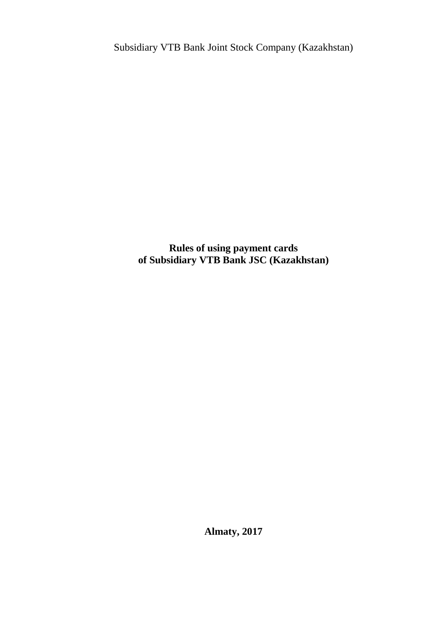Subsidiary VTB Bank Joint Stock Company (Kazakhstan)

**Rules of using payment cards of Subsidiary VTB Bank JSC (Kazakhstan)**

**Almaty, 2017**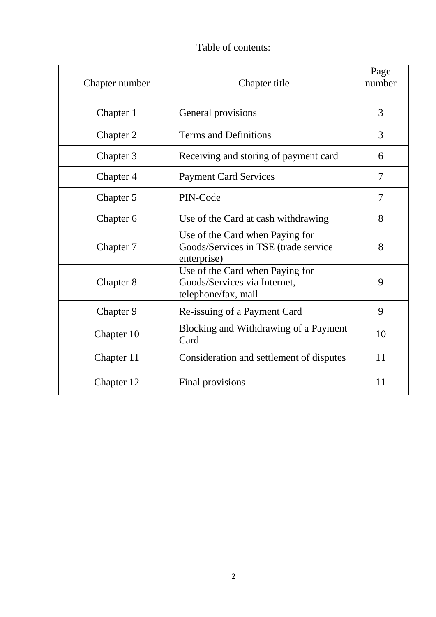# Table of contents:

| Chapter number | Chapter title                                                                          | Page<br>number |
|----------------|----------------------------------------------------------------------------------------|----------------|
| Chapter 1      | General provisions                                                                     | 3              |
| Chapter 2      | <b>Terms and Definitions</b>                                                           | 3              |
| Chapter 3      | Receiving and storing of payment card                                                  | 6              |
| Chapter 4      | <b>Payment Card Services</b>                                                           | 7              |
| Chapter 5      | PIN-Code                                                                               | $\tau$         |
| Chapter 6      | Use of the Card at cash withdrawing                                                    | 8              |
| Chapter 7      | Use of the Card when Paying for<br>Goods/Services in TSE (trade service<br>enterprise) | 8              |
| Chapter 8      | Use of the Card when Paying for<br>Goods/Services via Internet,<br>telephone/fax, mail | 9              |
| Chapter 9      | Re-issuing of a Payment Card                                                           | 9              |
| Chapter 10     | Blocking and Withdrawing of a Payment<br>Card                                          | 10             |
| Chapter 11     | Consideration and settlement of disputes                                               | 11             |
| Chapter 12     | Final provisions                                                                       | 11             |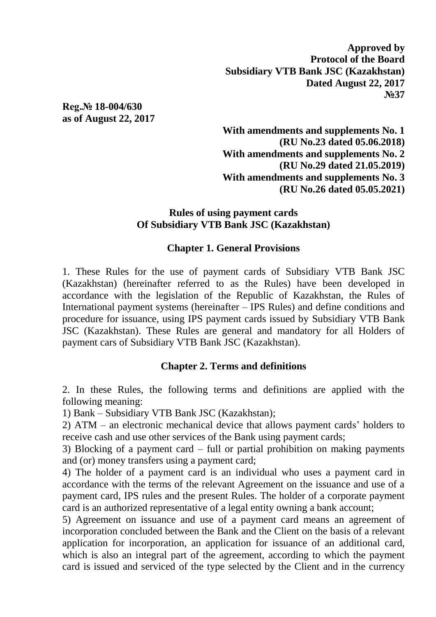**Approved by Protocol of the Board Subsidiary VTB Bank JSC (Kazakhstan) Dated August 22, 2017 №37**

**Reg.№ 18-004/630 as of August 22, 2017**

> **With amendments and supplements No. 1 (RU No.23 dated 05.06.2018) With amendments and supplements No. 2 (RU No.29 dated 21.05.2019) With amendments and supplements No. 3 (RU No.26 dated 05.05.2021)**

#### **Rules of using payment cards Of Subsidiary VTB Bank JSC (Kazakhstan)**

#### **Chapter 1. General Provisions**

1. These Rules for the use of payment cards of Subsidiary VTB Bank JSC (Kazakhstan) (hereinafter referred to as the Rules) have been developed in accordance with the legislation of the Republic of Kazakhstan, the Rules of International payment systems (hereinafter – IPS Rules) and define conditions and procedure for issuance, using IPS payment cards issued by Subsidiary VTB Bank JSC (Kazakhstan). These Rules are general and mandatory for all Holders of payment cars of Subsidiary VTB Bank JSC (Kazakhstan).

### **Chapter 2. Terms and definitions**

2. In these Rules, the following terms and definitions are applied with the following meaning:

1) Bank – Subsidiary VTB Bank JSC (Kazakhstan);

2) ATM – an electronic mechanical device that allows payment cards' holders to receive cash and use other services of the Bank using payment cards;

3) Blocking of a payment card – full or partial prohibition on making payments and (or) money transfers using a payment card;

4) The holder of a payment card is an individual who uses a payment card in accordance with the terms of the relevant Agreement on the issuance and use of a payment card, IPS rules and the present Rules. The holder of a corporate payment card is an authorized representative of a legal entity owning a bank account;

5) Agreement on issuance and use of a payment card means an agreement of incorporation concluded between the Bank and the Client on the basis of a relevant application for incorporation, an application for issuance of an additional card, which is also an integral part of the agreement, according to which the payment card is issued and serviced of the type selected by the Client and in the currency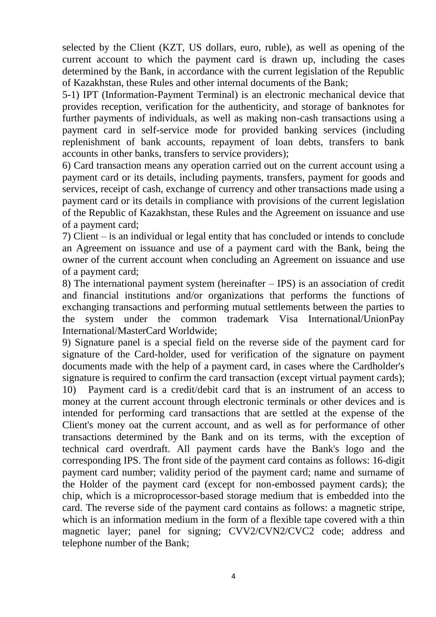selected by the Client (KZT, US dollars, euro, ruble), as well as opening of the current account to which the payment card is drawn up, including the cases determined by the Bank, in accordance with the current legislation of the Republic of Kazakhstan, these Rules and other internal documents of the Bank;

5-1) IPT (Information-Payment Terminal) is an electronic mechanical device that provides reception, verification for the authenticity, and storage of banknotes for further payments of individuals, as well as making non-cash transactions using a payment card in self-service mode for provided banking services (including replenishment of bank accounts, repayment of loan debts, transfers to bank accounts in other banks, transfers to service providers);

6) Card transaction means any operation carried out on the current account using a payment card or its details, including payments, transfers, payment for goods and services, receipt of cash, exchange of currency and other transactions made using a payment card or its details in compliance with provisions of the current legislation of the Republic of Kazakhstan, these Rules and the Agreement on issuance and use of a payment card;

7) Client – is an individual or legal entity that has concluded or intends to conclude an Agreement on issuance and use of a payment card with the Bank, being the owner of the current account when concluding an Agreement on issuance and use of a payment card;

8) The international payment system (hereinafter – IPS) is an association of credit and financial institutions and/or organizations that performs the functions of exchanging transactions and performing mutual settlements between the parties to the system under the common trademark Visa International/UnionPay International/MasterCard Worldwide;

9) Signature panel is a special field on the reverse side of the payment card for signature of the Card-holder, used for verification of the signature on payment documents made with the help of a payment card, in cases where the Cardholder's signature is required to confirm the card transaction (except virtual payment cards); 10) Payment card is a credit/debit card that is an instrument of an access to money at the current account through electronic terminals or other devices and is intended for performing card transactions that are settled at the expense of the Client's money oat the current account, and as well as for performance of other transactions determined by the Bank and on its terms, with the exception of technical card overdraft. All payment cards have the Bank's logo and the corresponding IPS. The front side of the payment card contains as follows: 16-digit payment card number; validity period of the payment card; name and surname of the Holder of the payment card (except for non-embossed payment cards); the chip, which is a microprocessor-based storage medium that is embedded into the card. The reverse side of the payment card contains as follows: a magnetic stripe, which is an information medium in the form of a flexible tape covered with a thin magnetic layer; panel for signing; CVV2/CVN2/CVC2 code; address and telephone number of the Bank;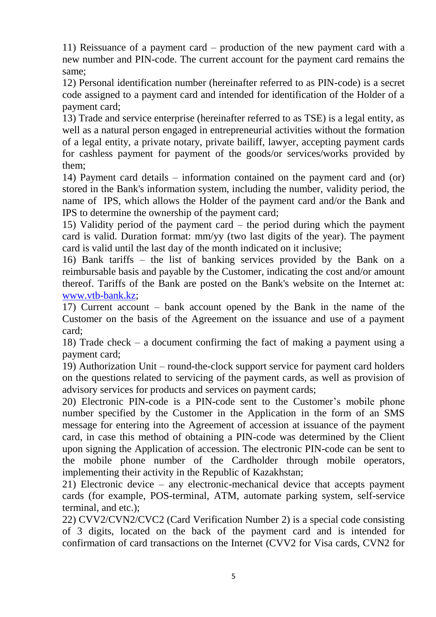11) Reissuance of a payment card – production of the new payment card with a new number and PIN-code. The current account for the payment card remains the same;

12) Personal identification number (hereinafter referred to as PIN-code) is a secret code assigned to a payment card and intended for identification of the Holder of a payment card;

13) Trade and service enterprise (hereinafter referred to as TSE) is a legal entity, as well as a natural person engaged in entrepreneurial activities without the formation of a legal entity, a private notary, private bailiff, lawyer, accepting payment cards for cashless payment for payment of the goods/or services/works provided by them;

14) Payment card details – information contained on the payment card and (or) stored in the Bank's information system, including the number, validity period, the name of IPS, which allows the Holder of the payment card and/or the Bank and IPS to determine the ownership of the payment card;

15) Validity period of the payment card – the period during which the payment card is valid. Duration format: mm/yy (two last digits of the year). The payment card is valid until the last day of the month indicated on it inclusive;

16) Bank tariffs – the list of banking services provided by the Bank on a reimbursable basis and payable by the Customer, indicating the cost and/or amount thereof. Tariffs of the Bank are posted on the Bank's website on the Internet at: [www.vtb-bank.kz;](http://www.vtb-bank.kz/)

17) Current account – bank account opened by the Bank in the name of the Customer on the basis of the Agreement on the issuance and use of a payment card;

18) Trade check – a document confirming the fact of making a payment using a payment card;

19) Authorization Unit – round-the-clock support service for payment card holders on the questions related to servicing of the payment cards, as well as provision of advisory services for products and services on payment cards;

20) Electronic PIN-code is a PIN-code sent to the Customer's mobile phone number specified by the Customer in the Application in the form of an SMS message for entering into the Agreement of accession at issuance of the payment card, in case this method of obtaining a PIN-code was determined by the Client upon signing the Application of accession. The electronic PIN-code can be sent to the mobile phone number of the Cardholder through mobile operators, implementing their activity in the Republic of Kazakhstan;

21) Electronic device – any electronic-mechanical device that accepts payment cards (for example, POS-terminal, ATM, automate parking system, self-service terminal, and etc.);

22) CVV2/CVN2/CVC2 (Card Verification Number 2) is a special code consisting of 3 digits, located on the back of the payment card and is intended for confirmation of card transactions on the Internet (CVV2 for Visa cards, CVN2 for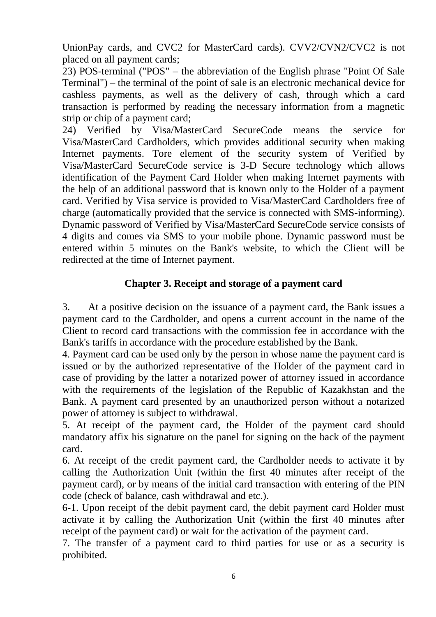UnionPay cards, and CVC2 for MasterCard cards). CVV2/CVN2/CVC2 is not placed on all payment cards;

23) POS-terminal ("POS" – the abbreviation of the English phrase "Point Of Sale Terminal") – the terminal of the point of sale is an electronic mechanical device for cashless payments, as well as the delivery of cash, through which a card transaction is performed by reading the necessary information from a magnetic strip or chip of a payment card;

24) Verified by Visa/MasterCard SecureCode means the service for Visa/MasterCard Cardholders, which provides additional security when making Internet payments. Tore element of the security system of Verified by Visa/MasterCard SecureCode service is 3-D Secure technology which allows identification of the Payment Card Holder when making Internet payments with the help of an additional password that is known only to the Holder of a payment card. Verified by Visa service is provided to Visa/MasterCard Cardholders free of charge (automatically provided that the service is connected with SMS-informing). Dynamic password of Verified by Visa/MasterCard SecureCode service consists of 4 digits and comes via SMS to your mobile phone. Dynamic password must be entered within 5 minutes on the Bank's website, to which the Client will be redirected at the time of Internet payment.

#### **Chapter 3. Receipt and storage of a payment card**

3. At a positive decision on the issuance of a payment card, the Bank issues a payment card to the Cardholder, and opens a current account in the name of the Client to record card transactions with the commission fee in accordance with the Bank's tariffs in accordance with the procedure established by the Bank.

4. Payment card can be used only by the person in whose name the payment card is issued or by the authorized representative of the Holder of the payment card in case of providing by the latter a notarized power of attorney issued in accordance with the requirements of the legislation of the Republic of Kazakhstan and the Bank. A payment card presented by an unauthorized person without a notarized power of attorney is subject to withdrawal.

5. At receipt of the payment card, the Holder of the payment card should mandatory affix his signature on the panel for signing on the back of the payment card.

6. At receipt of the credit payment card, the Cardholder needs to activate it by calling the Authorization Unit (within the first 40 minutes after receipt of the payment card), or by means of the initial card transaction with entering of the PIN code (check of balance, cash withdrawal and etc.).

6-1. Upon receipt of the debit payment card, the debit payment card Holder must activate it by calling the Authorization Unit (within the first 40 minutes after receipt of the payment card) or wait for the activation of the payment card.

7. The transfer of a payment card to third parties for use or as a security is prohibited.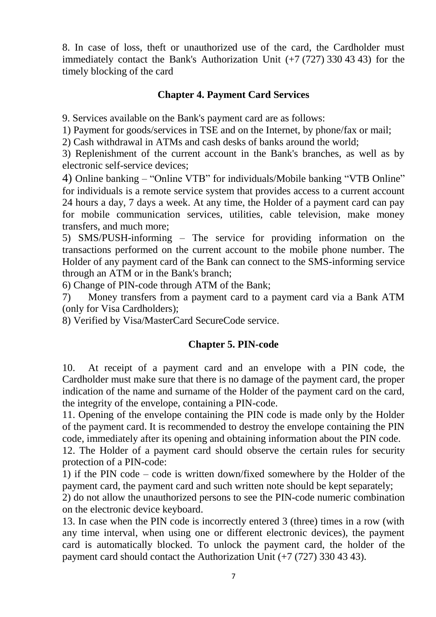8. In case of loss, theft or unauthorized use of the card, the Cardholder must immediately contact the Bank's Authorization Unit (+7 (727) 330 43 43) for the timely blocking of the card

### **Chapter 4. Payment Card Services**

9. Services available on the Bank's payment card are as follows:

1) Payment for goods/services in TSE and on the Internet, by phone/fax or mail;

2) Cash withdrawal in ATMs and cash desks of banks around the world;

3) Replenishment of the current account in the Bank's branches, as well as by electronic self-service devices;

4) Online banking – "Online VTB" for individuals/Mobile banking "VTB Online" for individuals is a remote service system that provides access to a current account 24 hours a day, 7 days a week. At any time, the Holder of a payment card can pay for mobile communication services, utilities, cable television, make money transfers, and much more;

5) SMS/PUSH-informing – The service for providing information on the transactions performed on the current account to the mobile phone number. The Holder of any payment card of the Bank can connect to the SMS-informing service through an ATM or in the Bank's branch;

6) Change of PIN-code through ATM of the Bank;

7) Money transfers from a payment card to a payment card via a Bank ATM (only for Visa Cardholders);

8) Verified by Visa/MasterCard SecureCode service.

### **Chapter 5. PIN-code**

10. At receipt of a payment card and an envelope with a PIN code, the Cardholder must make sure that there is no damage of the payment card, the proper indication of the name and surname of the Holder of the payment card on the card, the integrity of the envelope, containing a PIN-code.

11. Opening of the envelope containing the PIN code is made only by the Holder of the payment card. It is recommended to destroy the envelope containing the PIN code, immediately after its opening and obtaining information about the PIN code.

12. The Holder of a payment card should observe the certain rules for security protection of a PIN-code:

1) if the PIN code – code is written down/fixed somewhere by the Holder of the payment card, the payment card and such written note should be kept separately;

2) do not allow the unauthorized persons to see the PIN-code numeric combination on the electronic device keyboard.

13. In case when the PIN code is incorrectly entered 3 (three) times in a row (with any time interval, when using one or different electronic devices), the payment card is automatically blocked. To unlock the payment card, the holder of the payment card should contact the Authorization Unit (+7 (727) 330 43 43).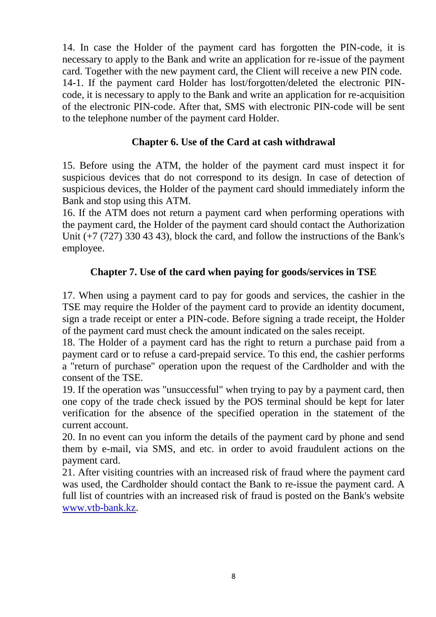14. In case the Holder of the payment card has forgotten the PIN-code, it is necessary to apply to the Bank and write an application for re-issue of the payment card. Together with the new payment card, the Client will receive a new PIN code. 14-1. If the payment card Holder has lost/forgotten/deleted the electronic PINcode, it is necessary to apply to the Bank and write an application for re-acquisition of the electronic PIN-code. After that, SMS with electronic PIN-code will be sent to the telephone number of the payment card Holder.

### **Chapter 6. Use of the Card at cash withdrawal**

15. Before using the ATM, the holder of the payment card must inspect it for suspicious devices that do not correspond to its design. In case of detection of suspicious devices, the Holder of the payment card should immediately inform the Bank and stop using this ATM.

16. If the ATM does not return a payment card when performing operations with the payment card, the Holder of the payment card should contact the Authorization Unit (+7 (727) 330 43 43), block the card, and follow the instructions of the Bank's employee.

# **Chapter 7. Use of the card when paying for goods/services in TSE**

17. When using a payment card to pay for goods and services, the cashier in the TSE may require the Holder of the payment card to provide an identity document, sign a trade receipt or enter a PIN-code. Before signing a trade receipt, the Holder of the payment card must check the amount indicated on the sales receipt.

18. The Holder of a payment card has the right to return a purchase paid from a payment card or to refuse a card-prepaid service. To this end, the cashier performs a "return of purchase" operation upon the request of the Cardholder and with the consent of the TSE.

19. If the operation was "unsuccessful" when trying to pay by a payment card, then one copy of the trade check issued by the POS terminal should be kept for later verification for the absence of the specified operation in the statement of the current account.

20. In no event can you inform the details of the payment card by phone and send them by e-mail, via SMS, and etc. in order to avoid fraudulent actions on the payment card.

21. After visiting countries with an increased risk of fraud where the payment card was used, the Cardholder should contact the Bank to re-issue the payment card. A full list of countries with an increased risk of fraud is posted on the Bank's website [www.vtb-bank.kz.](http://www.vtb-bank.kz/)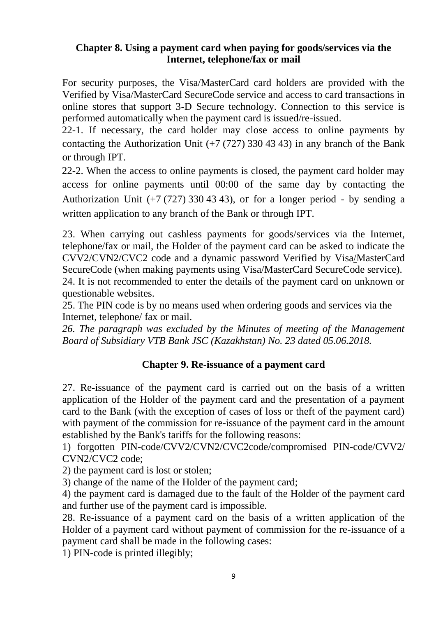#### **Chapter 8. Using a payment card when paying for goods/services via the Internet, telephone/fax or mail**

For security purposes, the Visa/MasterCard card holders are provided with the Verified by Visa/MasterCard SecureCode service and access to card transactions in online stores that support 3-D Secure technology. Сonnection to this service is performed automatically when the payment card is issued/re-issued.

22-1. If necessary, the card holder may close access to online payments by contacting the Authorization Unit  $(+7 (727) 330 43 43)$  in any branch of the Bank or through IPT.

22-2. When the access to online payments is closed, the payment card holder may access for online payments until 00:00 of the same day by contacting the Authorization Unit  $(+7 (727) 330 43 43)$ , or for a longer period - by sending a written application to any branch of the Bank or through IPT.

23. When carrying out cashless payments for goods/services via the Internet, telephone/fax or mail, the Holder of the payment card can be asked to indicate the CVV2/CVN2/CVC2 code and a dynamic password Verified by Visa/MasterCard SecureCode (when making payments using Visa/MasterCard SecureCode service). 24. It is not recommended to enter the details of the payment card on unknown or questionable websites.

25. The PIN code is by no means used when ordering goods and services via the Internet, telephone/ fax or mail.

*26. The paragraph was excluded by the Minutes of meeting of the Management Board of Subsidiary VTB Bank JSC (Kazakhstan) No. 23 dated 05.06.2018.*

### **Chapter 9. Re-issuance of a payment card**

27. Re-issuance of the payment card is carried out on the basis of a written application of the Holder of the payment card and the presentation of a payment card to the Bank (with the exception of cases of loss or theft of the payment card) with payment of the commission for re-issuance of the payment card in the amount established by the Bank's tariffs for the following reasons:

1) forgotten PIN-code/CVV2/CVN2/CVC2code/compromised PIN-code/CVV2/ CVN2/CVC2 code;

2) the payment card is lost or stolen;

3) change of the name of the Holder of the payment card;

4) the payment card is damaged due to the fault of the Holder of the payment card and further use of the payment card is impossible.

28. Re-issuance of a payment card on the basis of a written application of the Holder of a payment card without payment of commission for the re-issuance of a payment card shall be made in the following cases:

1) PIN-code is printed illegibly;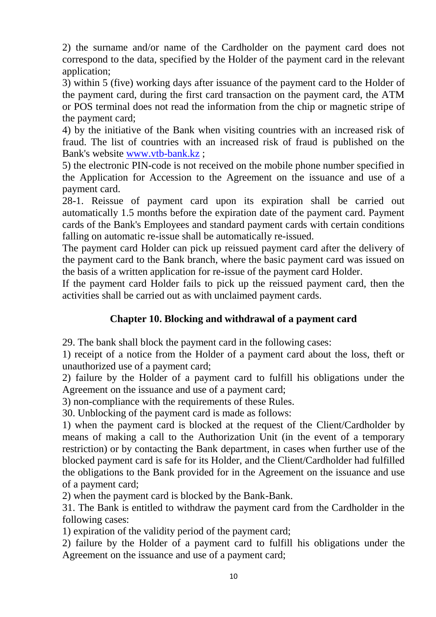2) the surname and/or name of the Cardholder on the payment card does not correspond to the data, specified by the Holder of the payment card in the relevant application;

3) within 5 (five) working days after issuance of the payment card to the Holder of the payment card, during the first card transaction on the payment card, the ATM or POS terminal does not read the information from the chip or magnetic stripe of the payment card;

4) by the initiative of the Bank when visiting countries with an increased risk of fraud. The list of countries with an increased risk of fraud is published on the Bank's website [www.vtb-bank.kz](http://www.vtb-bank.kz/) ;

5) the electronic PIN-code is not received on the mobile phone number specified in the Application for Accession to the Agreement on the issuance and use of a payment card.

28-1. Reissue of payment card upon its expiration shall be carried out automatically 1.5 months before the expiration date of the payment card. Payment cards of the Bank's Employees and standard payment cards with certain conditions falling on automatic re-issue shall be automatically re-issued.

The payment card Holder can pick up reissued payment card after the delivery of the payment card to the Bank branch, where the basic payment card was issued on the basis of a written application for re-issue of the payment card Holder.

If the payment card Holder fails to pick up the reissued payment card, then the activities shall be carried out as with unclaimed payment cards.

# **Chapter 10. Blocking and withdrawal of a payment card**

29. The bank shall block the payment card in the following cases:

1) receipt of a notice from the Holder of a payment card about the loss, theft or unauthorized use of a payment card;

2) failure by the Holder of a payment card to fulfill his obligations under the Agreement on the issuance and use of a payment card;

3) non-compliance with the requirements of these Rules.

30. Unblocking of the payment card is made as follows:

1) when the payment card is blocked at the request of the Client/Cardholder by means of making a call to the Authorization Unit (in the event of a temporary restriction) or by contacting the Bank department, in cases when further use of the blocked payment card is safe for its Holder, and the Client/Cardholder had fulfilled the obligations to the Bank provided for in the Agreement on the issuance and use of a payment card;

2) when the payment card is blocked by the Bank-Bank.

31. The Bank is entitled to withdraw the payment card from the Cardholder in the following cases:

1) expiration of the validity period of the payment card;

2) failure by the Holder of a payment card to fulfill his obligations under the Agreement on the issuance and use of a payment card;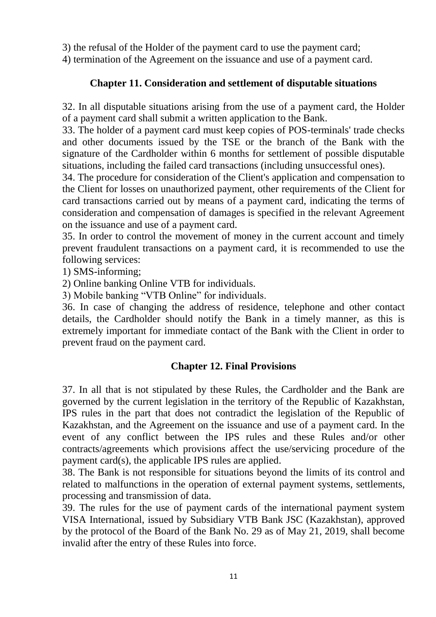3) the refusal of the Holder of the payment card to use the payment card;

4) termination of the Agreement on the issuance and use of a payment card.

# **Chapter 11. Consideration and settlement of disputable situations**

32. In all disputable situations arising from the use of a payment card, the Holder of a payment card shall submit a written application to the Bank.

33. The holder of a payment card must keep copies of POS-terminals' trade checks and other documents issued by the TSE or the branch of the Bank with the signature of the Cardholder within 6 months for settlement of possible disputable situations, including the failed card transactions (including unsuccessful ones).

34. The procedure for consideration of the Client's application and compensation to the Client for losses on unauthorized payment, other requirements of the Client for card transactions carried out by means of a payment card, indicating the terms of consideration and compensation of damages is specified in the relevant Agreement on the issuance and use of a payment card.

35. In order to control the movement of money in the current account and timely prevent fraudulent transactions on a payment card, it is recommended to use the following services:

1) SMS-informing;

2) Online banking Online VTB for individuals.

3) Mobile banking "VTB Online" for individuals.

36. In case of changing the address of residence, telephone and other contact details, the Cardholder should notify the Bank in a timely manner, as this is extremely important for immediate contact of the Bank with the Client in order to prevent fraud on the payment card.

### **Chapter 12. Final Provisions**

37. In all that is not stipulated by these Rules, the Cardholder and the Bank are governed by the current legislation in the territory of the Republic of Kazakhstan, IPS rules in the part that does not contradict the legislation of the Republic of Kazakhstan, and the Agreement on the issuance and use of a payment card. In the event of any conflict between the IPS rules and these Rules and/or other contracts/agreements which provisions affect the use/servicing procedure of the payment card(s), the applicable IPS rules are applied.

38. The Bank is not responsible for situations beyond the limits of its control and related to malfunctions in the operation of external payment systems, settlements, processing and transmission of data.

39. The rules for the use of payment cards of the international payment system VISA International, issued by Subsidiary VTB Bank JSC (Kazakhstan), approved by the protocol of the Board of the Bank No. 29 as of May 21, 2019, shall become invalid after the entry of these Rules into force.